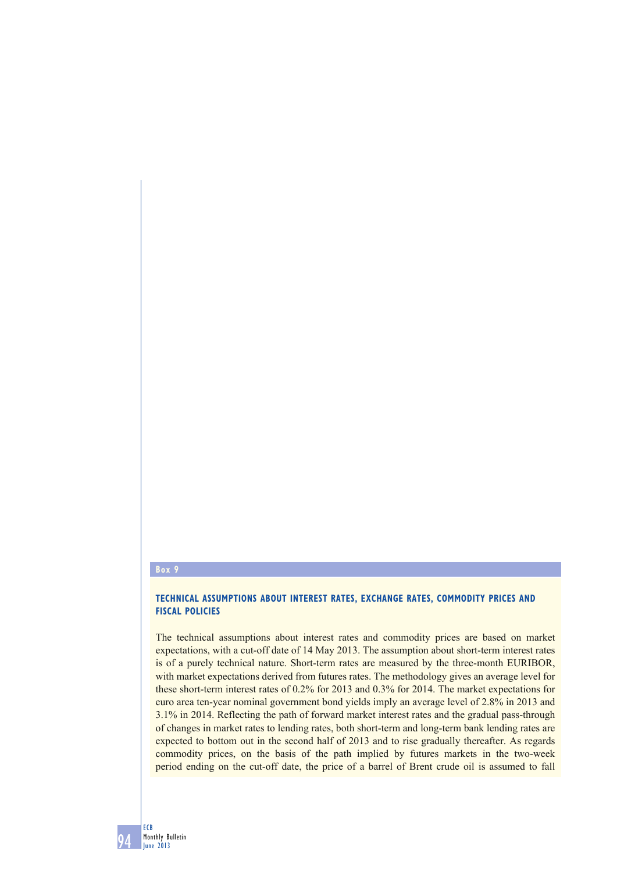## **Box 9**

## **TECHNICAL ASSUMPTIONS ABOUT INTEREST RATES, EXCHANGE RATES, COMMODITY PRICES AND FISCAL POLICIES**

The technical assumptions about interest rates and commodity prices are based on market expectations, with a cut-off date of 14 May 2013. The assumption about short-term interest rates is of a purely technical nature. Short-term rates are measured by the three-month EURIBOR, with market expectations derived from futures rates. The methodology gives an average level for these short-term interest rates of 0.2% for 2013 and 0.3% for 2014. The market expectations for euro area ten-year nominal government bond yields imply an average level of 2.8% in 2013 and 3.1% in 2014. Reflecting the path of forward market interest rates and the gradual pass-through of changes in market rates to lending rates, both short-term and long-term bank lending rates are expected to bottom out in the second half of 2013 and to rise gradually thereafter. As regards commodity prices, on the basis of the path implied by futures markets in the two-week period ending on the cut-off date, the price of a barrel of Brent crude oil is assumed to fall

94 ECB Monthly Bulletin June 2013